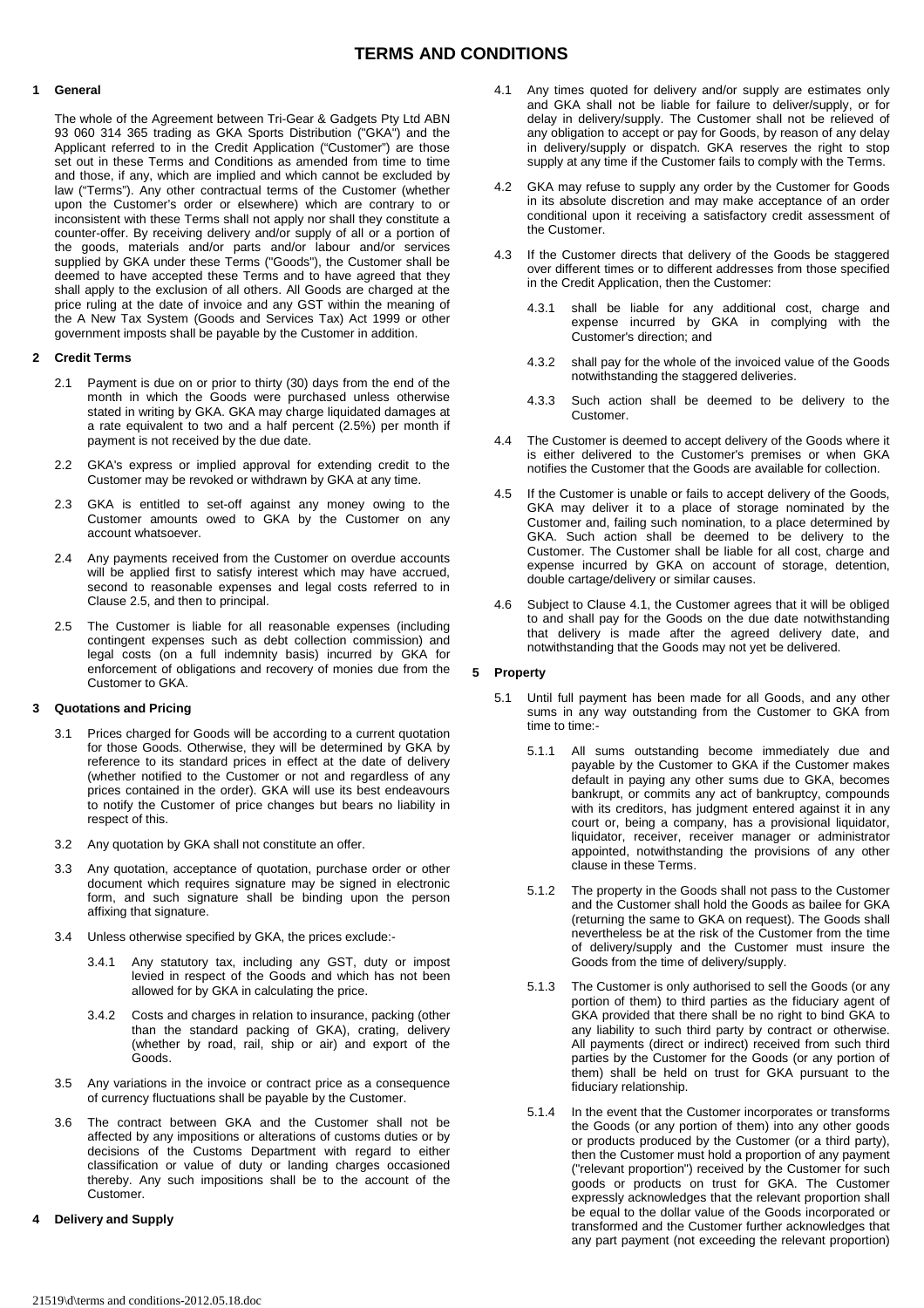# **TERMS AND CONDITIONS**

#### **1 General**

The whole of the Agreement between Tri-Gear & Gadgets Pty Ltd ABN 93 060 314 365 trading as GKA Sports Distribution ("GKA") and the Applicant referred to in the Credit Application ("Customer") are those set out in these Terms and Conditions as amended from time to time and those, if any, which are implied and which cannot be excluded by law ("Terms"). Any other contractual terms of the Customer (whether upon the Customer's order or elsewhere) which are contrary to or inconsistent with these Terms shall not apply nor shall they constitute a counter-offer. By receiving delivery and/or supply of all or a portion of the goods, materials and/or parts and/or labour and/or services supplied by GKA under these Terms ("Goods"), the Customer shall be deemed to have accepted these Terms and to have agreed that they shall apply to the exclusion of all others. All Goods are charged at the price ruling at the date of invoice and any GST within the meaning of the A New Tax System (Goods and Services Tax) Act 1999 or other government imposts shall be payable by the Customer in addition.

### **2 Credit Terms**

- 2.1 Payment is due on or prior to thirty (30) days from the end of the month in which the Goods were purchased unless otherwise stated in writing by GKA. GKA may charge liquidated damages at a rate equivalent to two and a half percent (2.5%) per month if payment is not received by the due date.
- 2.2 GKA's express or implied approval for extending credit to the Customer may be revoked or withdrawn by GKA at any time.
- 2.3 GKA is entitled to set-off against any money owing to the Customer amounts owed to GKA by the Customer on any account whatsoever.
- 2.4 Any payments received from the Customer on overdue accounts will be applied first to satisfy interest which may have accrued. second to reasonable expenses and legal costs referred to in Clause 2.5, and then to principal.
- 2.5 The Customer is liable for all reasonable expenses (including contingent expenses such as debt collection commission) and legal costs (on a full indemnity basis) incurred by GKA for enforcement of obligations and recovery of monies due from the Customer to GKA.

### **3 Quotations and Pricing**

- 3.1 Prices charged for Goods will be according to a current quotation for those Goods. Otherwise, they will be determined by GKA by reference to its standard prices in effect at the date of delivery (whether notified to the Customer or not and regardless of any prices contained in the order). GKA will use its best endeavours to notify the Customer of price changes but bears no liability in respect of this.
- 3.2 Any quotation by GKA shall not constitute an offer.
- 3.3 Any quotation, acceptance of quotation, purchase order or other document which requires signature may be signed in electronic form, and such signature shall be binding upon the person affixing that signature.
- Unless otherwise specified by GKA, the prices exclude:-
	- 3.4.1 Any statutory tax, including any GST, duty or impost levied in respect of the Goods and which has not been allowed for by GKA in calculating the price.
	- 3.4.2 Costs and charges in relation to insurance, packing (other than the standard packing of GKA), crating, delivery (whether by road, rail, ship or air) and export of the Goods.
- 3.5 Any variations in the invoice or contract price as a consequence of currency fluctuations shall be payable by the Customer.
- 3.6 The contract between GKA and the Customer shall not be affected by any impositions or alterations of customs duties or by decisions of the Customs Department with regard to either classification or value of duty or landing charges occasioned thereby. Any such impositions shall be to the account of the Customer.

#### **4 Delivery and Supply**

- 4.1 Any times quoted for delivery and/or supply are estimates only and GKA shall not be liable for failure to deliver/supply, or for delay in delivery/supply. The Customer shall not be relieved of any obligation to accept or pay for Goods, by reason of any delay in delivery/supply or dispatch. GKA reserves the right to stop supply at any time if the Customer fails to comply with the Terms.
- 4.2 GKA may refuse to supply any order by the Customer for Goods in its absolute discretion and may make acceptance of an order conditional upon it receiving a satisfactory credit assessment of the Customer.
- 4.3 If the Customer directs that delivery of the Goods be staggered over different times or to different addresses from those specified in the Credit Application, then the Customer:
	- 4.3.1 shall be liable for any additional cost, charge and expense incurred by GKA in complying with the Customer's direction; and
	- 4.3.2 shall pay for the whole of the invoiced value of the Goods notwithstanding the staggered deliveries.
	- 4.3.3 Such action shall be deemed to be delivery to the Customer.
- 4.4 The Customer is deemed to accept delivery of the Goods where it is either delivered to the Customer's premises or when GKA notifies the Customer that the Goods are available for collection.
- 4.5 If the Customer is unable or fails to accept delivery of the Goods, GKA may deliver it to a place of storage nominated by the Customer and, failing such nomination, to a place determined by GKA. Such action shall be deemed to be delivery to the Customer. The Customer shall be liable for all cost, charge and expense incurred by GKA on account of storage, detention, double cartage/delivery or similar causes.
- 4.6 Subject to Clause 4.1, the Customer agrees that it will be obliged to and shall pay for the Goods on the due date notwithstanding that delivery is made after the agreed delivery date, and notwithstanding that the Goods may not yet be delivered.

## **5 Property**

- 5.1 Until full payment has been made for all Goods, and any other sums in any way outstanding from the Customer to GKA from time to time:-
	- 5.1.1 All sums outstanding become immediately due and payable by the Customer to GKA if the Customer makes default in paying any other sums due to GKA, becomes bankrupt, or commits any act of bankruptcy, compounds with its creditors, has judgment entered against it in any court or, being a company, has a provisional liquidator, liquidator, receiver, receiver manager or administrator appointed, notwithstanding the provisions of any other clause in these Terms.
	- 5.1.2 The property in the Goods shall not pass to the Customer and the Customer shall hold the Goods as bailee for GKA (returning the same to GKA on request). The Goods shall nevertheless be at the risk of the Customer from the time of delivery/supply and the Customer must insure the Goods from the time of delivery/supply.
	- 5.1.3 The Customer is only authorised to sell the Goods (or any portion of them) to third parties as the fiduciary agent of GKA provided that there shall be no right to bind GKA to any liability to such third party by contract or otherwise. All payments (direct or indirect) received from such third parties by the Customer for the Goods (or any portion of them) shall be held on trust for GKA pursuant to the fiduciary relationship.
	- 5.1.4 In the event that the Customer incorporates or transforms the Goods (or any portion of them) into any other goods or products produced by the Customer (or a third party), then the Customer must hold a proportion of any payment ("relevant proportion") received by the Customer for such goods or products on trust for GKA. The Customer expressly acknowledges that the relevant proportion shall be equal to the dollar value of the Goods incorporated or transformed and the Customer further acknowledges that any part payment (not exceeding the relevant proportion)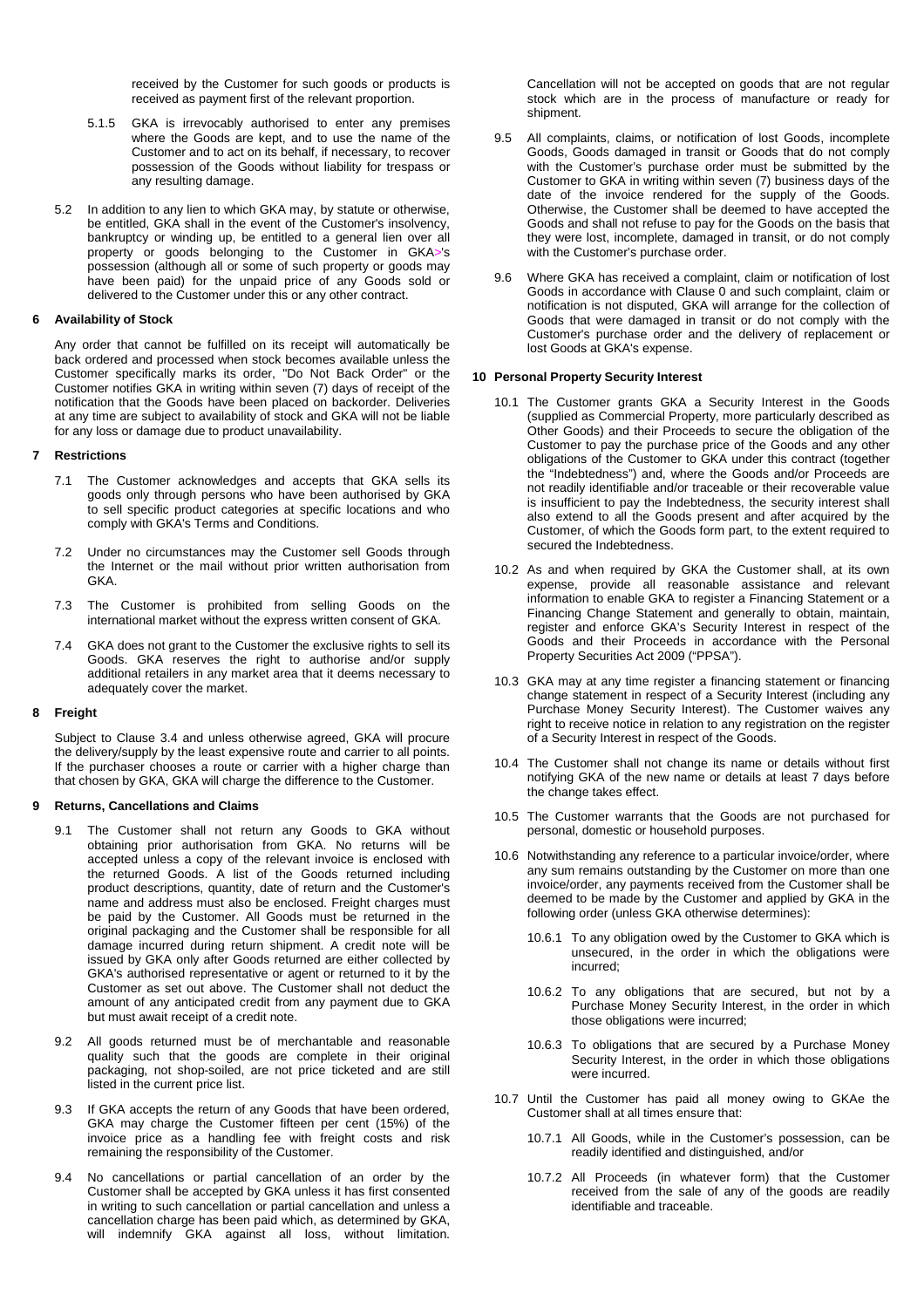received by the Customer for such goods or products is received as payment first of the relevant proportion.

- 5.1.5 GKA is irrevocably authorised to enter any premises where the Goods are kept, and to use the name of the Customer and to act on its behalf, if necessary, to recover possession of the Goods without liability for trespass or any resulting damage.
- 5.2 In addition to any lien to which GKA may, by statute or otherwise, be entitled, GKA shall in the event of the Customer's insolvency, bankruptcy or winding up, be entitled to a general lien over all property or goods belonging to the Customer in GKA>'s possession (although all or some of such property or goods may have been paid) for the unpaid price of any Goods sold or delivered to the Customer under this or any other contract.

## **6 Availability of Stock**

Any order that cannot be fulfilled on its receipt will automatically be back ordered and processed when stock becomes available unless the Customer specifically marks its order, "Do Not Back Order" or the Customer notifies GKA in writing within seven (7) days of receipt of the notification that the Goods have been placed on backorder. Deliveries at any time are subject to availability of stock and GKA will not be liable for any loss or damage due to product unavailability.

### **7 Restrictions**

- 7.1 The Customer acknowledges and accepts that GKA sells its goods only through persons who have been authorised by GKA to sell specific product categories at specific locations and who comply with GKA's Terms and Conditions.
- 7.2 Under no circumstances may the Customer sell Goods through the Internet or the mail without prior written authorisation from GKA.
- 7.3 The Customer is prohibited from selling Goods on the international market without the express written consent of GKA.
- 7.4 GKA does not grant to the Customer the exclusive rights to sell its Goods. GKA reserves the right to authorise and/or supply additional retailers in any market area that it deems necessary to adequately cover the market.

#### **8 Freight**

Subject to Clause 3.4 and unless otherwise agreed, GKA will procure the delivery/supply by the least expensive route and carrier to all points. If the purchaser chooses a route or carrier with a higher charge than that chosen by GKA, GKA will charge the difference to the Customer.

# **9 Returns, Cancellations and Claims**

- 9.1 The Customer shall not return any Goods to GKA without obtaining prior authorisation from GKA. No returns will be accepted unless a copy of the relevant invoice is enclosed with the returned Goods. A list of the Goods returned including product descriptions, quantity, date of return and the Customer's name and address must also be enclosed. Freight charges must be paid by the Customer. All Goods must be returned in the original packaging and the Customer shall be responsible for all damage incurred during return shipment. A credit note will be issued by GKA only after Goods returned are either collected by GKA's authorised representative or agent or returned to it by the Customer as set out above. The Customer shall not deduct the amount of any anticipated credit from any payment due to GKA but must await receipt of a credit note.
- 9.2 All goods returned must be of merchantable and reasonable quality such that the goods are complete in their original packaging, not shop-soiled, are not price ticketed and are still listed in the current price list.
- 9.3 If GKA accepts the return of any Goods that have been ordered, GKA may charge the Customer fifteen per cent (15%) of the invoice price as a handling fee with freight costs and risk remaining the responsibility of the Customer.
- 9.4 No cancellations or partial cancellation of an order by the Customer shall be accepted by GKA unless it has first consented in writing to such cancellation or partial cancellation and unless a cancellation charge has been paid which, as determined by GKA, will indemnify GKA against all loss, without limitation.

Cancellation will not be accepted on goods that are not regular stock which are in the process of manufacture or ready for shipment.

- 9.5 All complaints, claims, or notification of lost Goods, incomplete Goods, Goods damaged in transit or Goods that do not comply with the Customer's purchase order must be submitted by the Customer to GKA in writing within seven (7) business days of the date of the invoice rendered for the supply of the Goods. Otherwise, the Customer shall be deemed to have accepted the Goods and shall not refuse to pay for the Goods on the basis that they were lost, incomplete, damaged in transit, or do not comply with the Customer's purchase order.
- 9.6 Where GKA has received a complaint, claim or notification of lost Goods in accordance with Clause 0 and such complaint, claim or notification is not disputed, GKA will arrange for the collection of Goods that were damaged in transit or do not comply with the Customer's purchase order and the delivery of replacement or lost Goods at GKA's expense.

### **10 Personal Property Security Interest**

- 10.1 The Customer grants GKA a Security Interest in the Goods (supplied as Commercial Property, more particularly described as Other Goods) and their Proceeds to secure the obligation of the Customer to pay the purchase price of the Goods and any other obligations of the Customer to GKA under this contract (together the "Indebtedness") and, where the Goods and/or Proceeds are not readily identifiable and/or traceable or their recoverable value is insufficient to pay the Indebtedness, the security interest shall also extend to all the Goods present and after acquired by the Customer, of which the Goods form part, to the extent required to secured the Indebtedness.
- 10.2 As and when required by GKA the Customer shall, at its own expense, provide all reasonable assistance and relevant information to enable GKA to register a Financing Statement or a Financing Change Statement and generally to obtain, maintain, register and enforce GKA's Security Interest in respect of the Goods and their Proceeds in accordance with the Personal Property Securities Act 2009 ("PPSA").
- 10.3 GKA may at any time register a financing statement or financing change statement in respect of a Security Interest (including any Purchase Money Security Interest). The Customer waives any right to receive notice in relation to any registration on the register of a Security Interest in respect of the Goods.
- 10.4 The Customer shall not change its name or details without first notifying GKA of the new name or details at least 7 days before the change takes effect.
- 10.5 The Customer warrants that the Goods are not purchased for personal, domestic or household purposes.
- 10.6 Notwithstanding any reference to a particular invoice/order, where any sum remains outstanding by the Customer on more than one invoice/order, any payments received from the Customer shall be deemed to be made by the Customer and applied by GKA in the following order (unless GKA otherwise determines):
	- 10.6.1 To any obligation owed by the Customer to GKA which is unsecured, in the order in which the obligations were incurred;
	- 10.6.2 To any obligations that are secured, but not by a Purchase Money Security Interest, in the order in which those obligations were incurred;
	- 10.6.3 To obligations that are secured by a Purchase Money Security Interest, in the order in which those obligations were incurred.
- 10.7 Until the Customer has paid all money owing to GKAe the Customer shall at all times ensure that:
	- 10.7.1 All Goods, while in the Customer's possession, can be readily identified and distinguished, and/or
	- 10.7.2 All Proceeds (in whatever form) that the Customer received from the sale of any of the goods are readily identifiable and traceable.